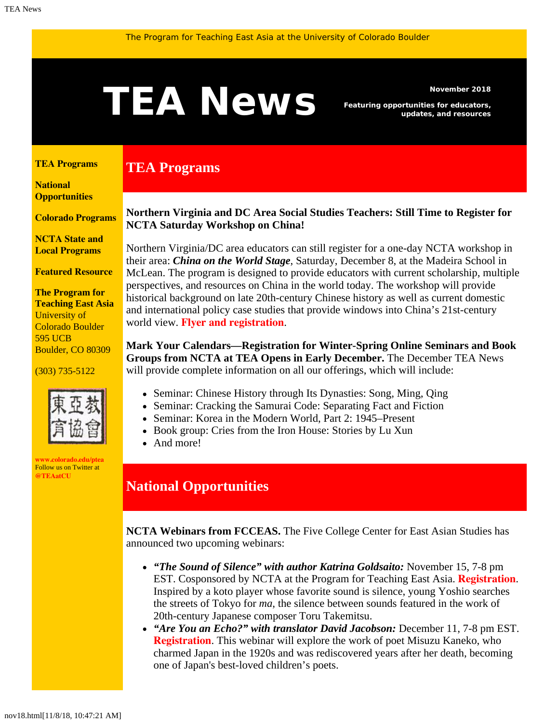# <span id="page-0-1"></span>Newsmber 2018<br> **TEAN EWS** Featuring opportunities for educators,<br>
updates, and resources

**TEA Programs**

*Featuring opportunities for educators, updates, and resources*

#### <span id="page-0-0"></span>**[TEA Programs](#page-0-0)**

**[National](#page-0-1)  [Opportunities](#page-0-1)**

**[Colorado Programs](#page-0-1)**

**[NCTA State and](#page-1-0) [Local Programs](#page-1-0)**

**[Featured Resource](#page-2-0)**

**The Program for Teaching East Asia** University of Colorado Boulder 595 UCB Boulder, CO 80309

#### (303) 735-5122



**[www.colorado.edu/ptea](http://www.colorado.edu/cas/tea)** Follow us on Twitter at **[@TEAatCU](https://twitter.com/TEAatCU)**

### **Northern Virginia and DC Area Social Studies Teachers: Still Time to Register for NCTA Saturday Workshop on China!**

Northern Virginia/DC area educators can still register for a one-day NCTA workshop in their area: *China on the World Stage*, Saturday, December 8, at the Madeira School in McLean. The program is designed to provide educators with current scholarship, multiple perspectives, and resources on China in the world today. The workshop will provide historical background on late 20th-century Chinese history as well as current domestic and international policy case studies that provide windows into China's 21st-century world view. **[Flyer and registration](https://www.colorado.edu/ptea/sites/default/files/attached-files/nctanovachina1.pdf)**.

**Mark Your Calendars—Registration for Winter-Spring Online Seminars and Book Groups from NCTA at TEA Opens in Early December.** The December TEA News will provide complete information on all our offerings, which will include:

- Seminar: Chinese History through Its Dynasties: Song, Ming, Qing
- Seminar: Cracking the Samurai Code: Separating Fact and Fiction
- Seminar: Korea in the Modern World, Part 2: 1945–Present
- Book group: Cries from the Iron House: Stories by Lu Xun
- And more!

## **National Opportunities**

**NCTA Webinars from FCCEAS.** The Five College Center for East Asian Studies has announced two upcoming webinars:

- *"The Sound of Silence" with author Katrina Goldsaito:* November 15, 7-8 pm EST. Cosponsored by NCTA at the Program for Teaching East Asia. **[Registration](https://register.gotowebinar.com/register/6774609402689933825?utm_source=October+22%2C+2018&utm_campaign=FCCEAS+e-bulletin&utm_medium=email)**. Inspired by a koto player whose favorite sound is silence, young Yoshio searches the streets of Tokyo for *ma*, the silence between sounds featured in the work of 20th-century Japanese composer Toru Takemitsu.
- *"Are You an Echo?" with translator David Jacobson:* December 11, 7-8 pm EST. **[Registration](https://register.gotowebinar.com/register/3881429272156123906?utm_source=October+22%2C+2018&utm_campaign=FCCEAS+e-bulletin&utm_medium=email)**. This webinar will explore the work of poet Misuzu Kaneko, who charmed Japan in the 1920s and was rediscovered years after her death, becoming one of Japan's best-loved children's poets.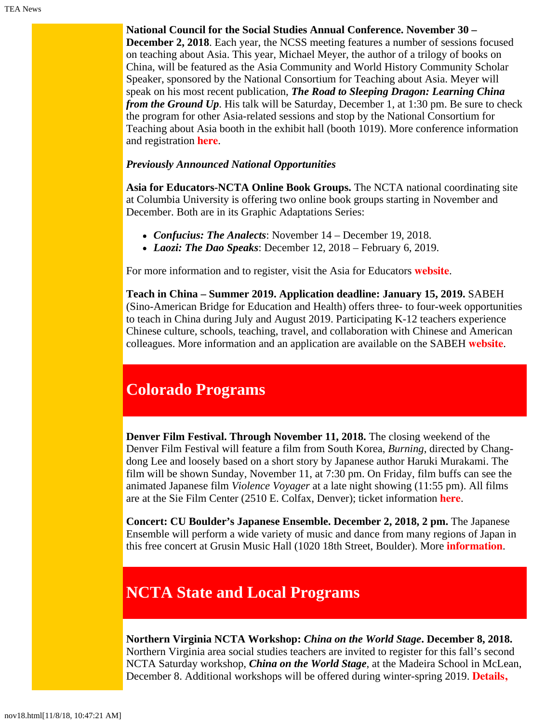**National Council for the Social Studies Annual Conference. November 30 – December 2, 2018**. Each year, the NCSS meeting features a number of sessions focused on teaching about Asia. This year, Michael Meyer, the author of a trilogy of books on China, will be featured as the Asia Community and World History Community Scholar Speaker, sponsored by the National Consortium for Teaching about Asia. Meyer will speak on his most recent publication, *The Road to Sleeping Dragon: Learning China from the Ground Up.* His talk will be Saturday, December 1, at 1:30 pm. Be sure to check the program for other Asia-related sessions and stop by the National Consortium for Teaching about Asia booth in the exhibit hall (booth 1019). More conference information and registration **[here](https://www.socialstudies.org/conference)**.

#### *Previously Announced National Opportunities*

**Asia for Educators-NCTA Online Book Groups.** The NCTA national coordinating site at Columbia University is offering two online book groups starting in November and December. Both are in its Graphic Adaptations Series:

- *Confucius: The Analects*: November 14 December 19, 2018.
- *Laozi: The Dao Speaks*: December 12, 2018 February 6, 2019.

For more information and to register, visit the Asia for Educators **[website](http://asiaforeducators.org/course/index.php?categoryid=41)**.

**Teach in China – Summer 2019. Application deadline: January 15, 2019.** SABEH (Sino-American Bridge for Education and Health) offers three- to four-week opportunities to teach in China during July and August 2019. Participating K-12 teachers experience Chinese culture, schools, teaching, travel, and collaboration with Chinese and American colleagues. More information and an application are available on the SABEH **[website](http://www.sabeh.org/teach-in-china)**.

# **Colorado Programs**

**Denver Film Festival. Through November 11, 2018.** The closing weekend of the Denver Film Festival will feature a film from South Korea, *Burning*, directed by Changdong Lee and loosely based on a short story by Japanese author Haruki Murakami. The film will be shown Sunday, November 11, at 7:30 pm. On Friday, film buffs can see the animated Japanese film *Violence Voyager* at a late night showing (11:55 pm). All films are at the Sie Film Center (2510 E. Colfax, Denver); ticket information **[here](https://secure.denverfilm.org/tickets/)**.

**Concert: CU Boulder's Japanese Ensemble. December 2, 2018, 2 pm.** The Japanese Ensemble will perform a wide variety of music and dance from many regions of Japan in this free concert at Grusin Music Hall (1020 18th Street, Boulder). More **[information](https://cupresents.org/event/11197/cu-music/japanese-ensemble/)**.

# <span id="page-1-0"></span>**NCTA State and Local Programs**

**Northern Virginia NCTA Workshop:** *China on the World Stage***. December 8, 2018.** Northern Virginia area social studies teachers are invited to register for this fall's second NCTA Saturday workshop, *China on the World Stage*, at the Madeira School in McLean, December 8. Additional workshops will be offered during winter-spring 2019. **[Details,](https://www.colorado.edu/ptea/sites/default/files/attached-files/nctanovachina1.pdf)**